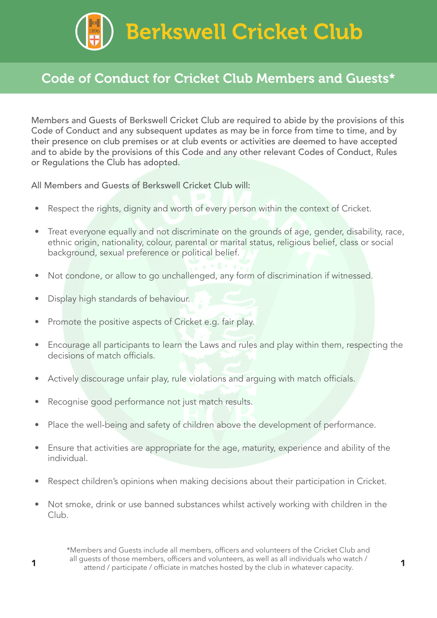Berkswell Cricket Club

## Code of Conduct for Cricket Club Members and Guests\*

Members and Guests of Berkswell Cricket Club are required to abide by the provisions of this Code of Conduct and any subsequent updates as may be in force from time to time, and by their presence on club premises or at club events or activities are deemed to have accepted and to abide by the provisions of this Code and any other relevant Codes of Conduct, Rules or Regulations the Club has adopted.

All Members and Guests of Berkswell Cricket Club will:

- Respect the rights, dignity and worth of every person within the context of Cricket.
- Treat everyone equally and not discriminate on the grounds of age, gender, disability, race, ethnic origin, nationality, colour, parental or marital status, religious belief, class or social background, sexual preference or political belief.
- Not condone, or allow to go unchallenged, any form of discrimination if witnessed.
- Display high standards of behaviour.
- Promote the positive aspects of Cricket e.g. fair play.
- Encourage all participants to learn the Laws and rules and play within them, respecting the decisions of match officials.
- Actively discourage unfair play, rule violations and arguing with match officials.
- Recognise good performance not just match results.
- Place the well-being and safety of children above the development of performance.
- Ensure that activities are appropriate for the age, maturity, experience and ability of the individual.
- Respect children's opinions when making decisions about their participation in Cricket.
- Not smoke, drink or use banned substances whilst actively working with children in the Club.

\*Members and Guests include all members, officers and volunteers of the Cricket Club and all guests of those members, officers and volunteers, as well as all individuals who watch / an guests of those members, officiate and volumeers, as well as all mulviquals who watch?